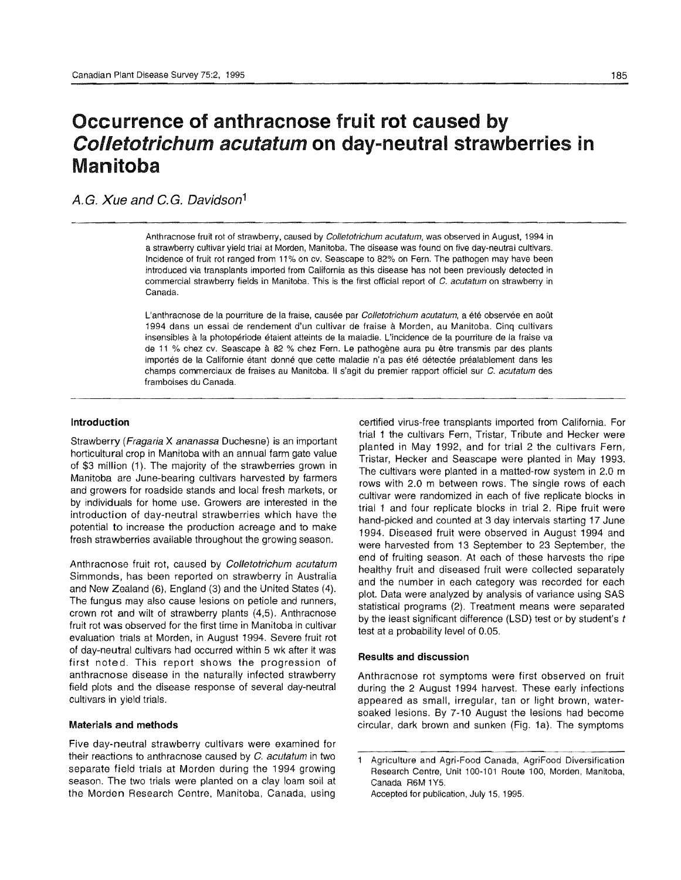# Occurrence **of** anthracnose fruit **rot** caused by Colletotrichum acutatum **on** day-neutral strawberries in Manitoba

A.G. Xue and C.G. Davidson<sup>1</sup>

Anthracnose fruit rot of strawberry, caused by *Colletotrichum acutatum*, was observed in August, 1994 in a strawberry cultivar yield trial at Morden, Manitoba. The disease was found on five day-neutral cultivars. Incidence of fruit rot ranged from 11 % on cv. Seascape to 82% on Fern. The pathogen may have been introduced via transplants imported from California as this disease has not been previously detected in commercial strawberry fields in Manitoba. This is the first official report of C. acutatum on strawberry in Canada.

L'anthracnose de la pourriture de la fraise, causée par Colletotrichum acutatum, a été observée en août 1994 dans un essai de rendement d'un cultivar de fraise a Morden, au Manitoba. Cinq cullivars insensibles à la photopériode étaient atteints de la maladie. L'incidence de la pourriture de la fraise va de 11 % chez cv. Seascape a 82 % chez Fern. Le pathogene aura pu etre transmis par des plants importés de la Californie étant donné que cette maladie n'a pas été détectée préalablement dans les champs commerciaux de fraises au Manitoba. II s'agit du premier rapport officiel sur C. acutatum des framboises du Canada.

#### Introduction

Strawberry (Fragaria X ananassa Duchesne) is an important horticultural crop in Manitoba with an annual farm gate value of \$3 million (1). The majority of the strawberries grown in Manitoba are June-bearing cultivars harvested by farmers and growers for roadside stands and local fresh markets, or by individuals for home use. Growers are interested in the introduction of day-neutral strawberries which have the potential to increase the production acreage and to make fresh strawberries available throughout the growing season.

Anthracnose fruit rot, caused by Colletotrichum acutatum Simmonds, has been reported on strawberry in Australia and New Zealand (6), England (3) and the United States (4). The fungus may also cause lesions on petiole and runners, crown rot and wilt of strawberry plants (4,5). Anthracnose fruit rot was observed for the first time in Manitoba in cultivar evaluation trials at Morden, in August 1994. Severe fruit rot of day-neutral cultivars had occurred within 5 wk after it was first noted. This report shows the progression of anthracnose disease in the naturally infected strawberry field plots and the disease response of several day-neutral cultivars in yield trials.

#### Materials and methods

Five day-neutral strawberry cultivars were examined for their reactions to anthracnose caused by C. acutatum in two separate field trials at Morden during the 1994 growing season. The two trials were planted on a clay loam soil at the Morden Research Centre, Manitoba, Canada, using

certified virus-free transplants imported from California. For trial 1 the cultivars Fern, Tristar, Tribute and Hecker were planted in May 1992, and for trial 2 the cultivars Fern, Tristar, Hecker and Seascape were planted in May 1993. The cultivars were planted in a matted-row system in 2.0 m rows with 2.0 m between rows. The single rows of each cultivar were randomized in each of five replicate blocks in trial 1 and four replicate blocks in trial 2. Ripe fruit were hand-picked and counted at 3 day intervals starting 17 June 1994. Diseased fruit were observed in August 1994 and were harvested from 13 September to 23 September, the end of fruiting season. At each of these harvests the ripe healthy fruit and diseased fruit were collected separately and the number in each category was recorded for each plot. Data were analyzed by analysis of variance using SAS statistical programs (2). Treatment means were separated by the least significant difference (LSD) test or by student's *t*  test at a probability level of 0.05.

#### Results and discussion

Anthracnose rot symptoms were first observed on fruit during the 2 August 1994 harvest. These early infections appeared as small, irregular, tan or light brown, watersoaked lesions. By 7-10 August the lesions had become circular, dark brown and sunken (Fig. 1a). The symptoms

 $\mathbf{1}$ Agriculture and Agri-Food Canada, AgriFood Diversification Research Centre, Unit 100-101 Route 100, Morden, Manitoba, Canada R6M 1Y5. Accepted for publication, July 15, 1995.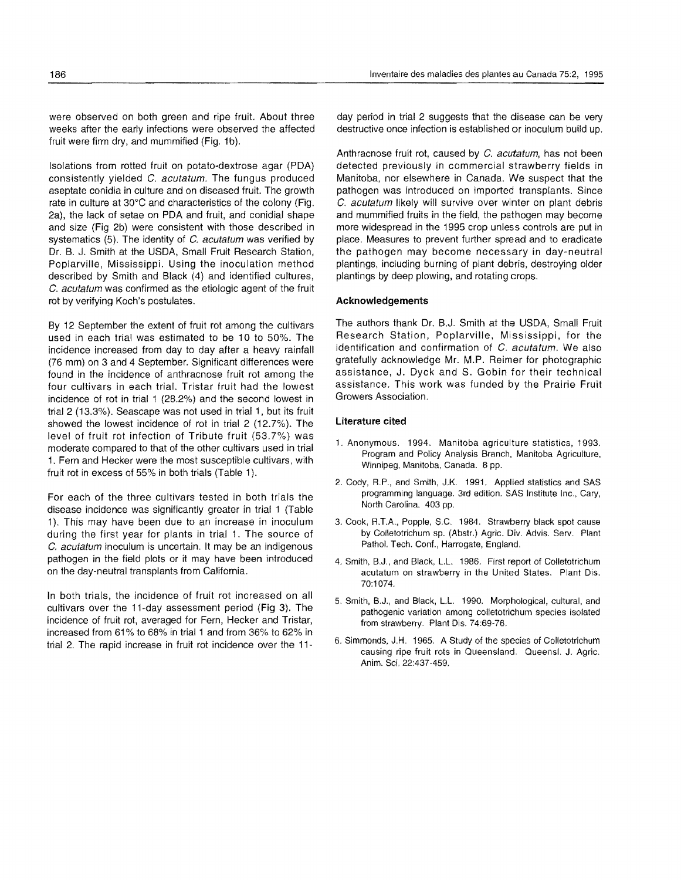were observed on both green and ripe fruit. About three weeks after the early infections were observed the affected fruit were firm dry, and mummified (Fig. 1b).

Isolations from rotted fruit on potato-dextrose agar (PDA) consistently yielded C. *acutatum.* The fungus produced aseptate conidia in culture and on diseased fruit. The growth rate in culture at 30°C and characteristics of the colony (Fig. 2a), the lack of setae on PDA and fruit, and conidial shape and size (Fig 2b) were consistent with those described in systematics (5). The identity of C. *acutatum* was verified by Dr. B. J. Smith at the USDA, Small Fruit Research Station, Poplarville, Mississippi. Using the inoculation method described by Smith and Black (4) and identified cultures, C. *acutatum* was confirmed as the etiologic agent of the fruit rot by verifying Koch's postulates.

By 12 September the extent of fruit rot among the cultivars used in each trial was estimated to be 10 to 50%. The incidence increased from day to day after a heavy rainfall (76 mm) on 3 and 4 September. Significant differences were found in the incidence of anthracnose fruit rot among the four cultivars in each trial. Tristar fruit had the lowest incidence of rot in trial 1 (28.2%) and the second lowest in trial 2 (13.3%). Seascape was not used in trial 1, but its fruit showed the lowest incidence of rot in trial 2 (12.7%). The level of fruit rot infection of Tribute fruit (53.7%) was moderate compared to that of the other cultivars used in trial 1. Fem and Hecker were the most susceptible cultivars, with fruit rot in excess of 55% in both trials (Table 1).

For each of the three cultivars tested in both trials the disease incidence was significantly greater in trial 1 (Table 1). This may have been due to an increase in inoculum during the first year for plants in trial 1. The source of C. *acutatum* inoculum is uncertain. It may be an indigenous pathogen in the field plots or it may have been introduced on the day-neutral transplants from California.

In both trials, the incidence of fruit rot increased on all cultivars over the 11-day assessment period (Fig 3). The incidence of fruit rot, averaged for Fern, Hecker and Tristar, increased from 61% to 68% in trial 1 and from 36% to 62% in trial 2. The rapid increase in fruit rot incidence over the 11day period in trial 2 suggests that the disease can be very destructive once infection is established or inoculum build up.

Anthracnose fruit rot, caused by C. *acutatum,* has not been detected previously in commercial strawberry fields in Manitoba, nor elsewhere in Canada. We suspect that the pathogen was introduced on imported transplants. Since C. *acutatum* likely will survive over winter on plant debris and mummified fruits in the field, the pathogen may become more widespread in the 1995 crop unless controls are put in place. Measures to prevent further spread and to eradicate the pathogen may become necessary in day-neutral plantings, including burning of plant debris, destroying older plantings by deep plowing, and rotating crops.

## **Acknowledgements**

The authors thank Dr. B.J. Smith at the USDA, Small Fruit Research Station, Poplarville, Mississippi, for the identification and confirmation of C. *acutatum.* We also gratefully acknowledge Mr. M.P. Reimer for photographic assistance, J. Dyck and S. Gobin for their technical assistance. This work was funded by the Prairie Fruit Growers Association.

## **literature cited**

- 1. Anonymous. 1994. Manitoba agriculture statistics, 1993. Program and Policy Analysis Branch, Manitoba Agriculture, Winnipeg, Manitoba, Canada. 8 pp.
- 2. Cody, R.P., and Smith, J.K. 1991. Applied stalistics and SAS programming language. 3rd edition. SAS Institute Inc., Cary, North Carolina. 403 pp.
- 3. Cook, R.T.A., Popple, S.C. 1984. Strawberry black spot cause by Colletotrichum sp. (Abstr.) Agric. Div. Advis. Serv. Plant Pathol. Tech. Conf., Harrogate, England.
- 4. Smith, B.J., and Black, L.L. 1986. First report of Colietotrichum acutatum on strawberry in the United States. Plant Dis. 70:1074.
- 5. Smith, B.J., and Black, L.L. 1990. Morphological, cultural, and pathogenic variation among colietotrichum species isolated from strawberry. Plant Dis. 74:69-76.
- 6. Simmonds, J.H. 1965. A Study of the species of Colletotrichum causing ripe fruit rots in Queensland. Queens!. J. Agric. Anim. Sci. 22:437-459.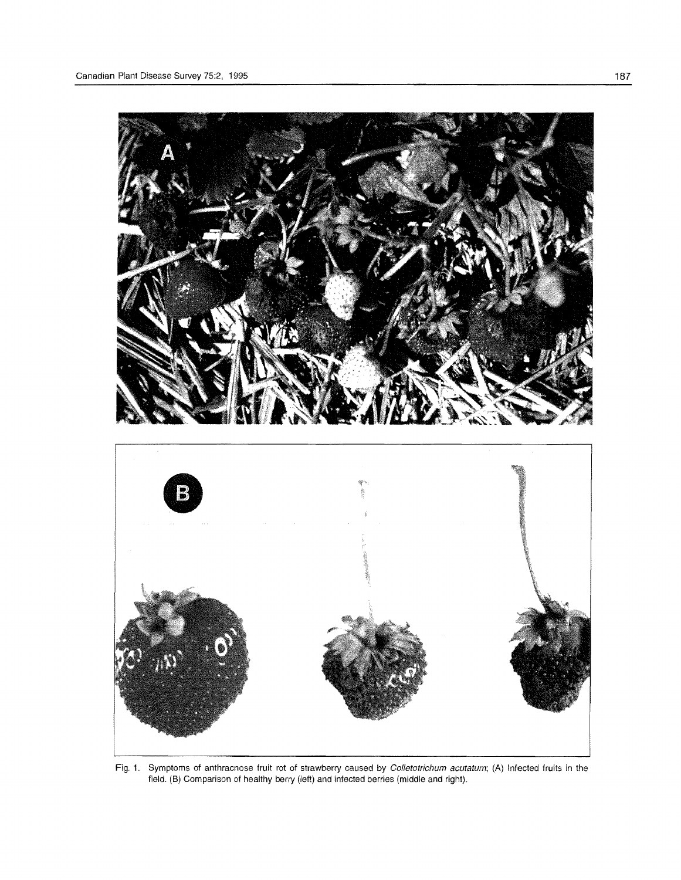

Fig. 1. Symptoms of anthracnose fruit rot of strawberry caused by Colletotrichum acutatum; (A) Infected fruits in the field. (B) Comparison of healthy berry (left) and infected berries (middle and right).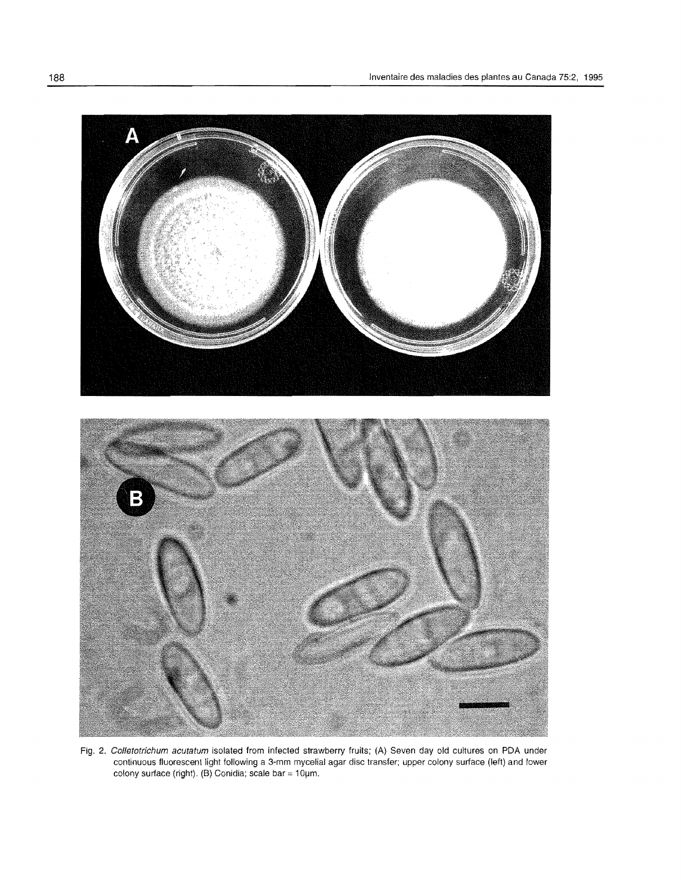

Fig. 2. Colletotrichum acutatum isolated from infected strawberry fruits; (A) Seven day old cultures on PDA under continuous fluorescent light following a 3-mm mycelial agar disc transfer; upper colony surface (left) and lower colony surface (right). (B) Conidia; scale bar = 10µm.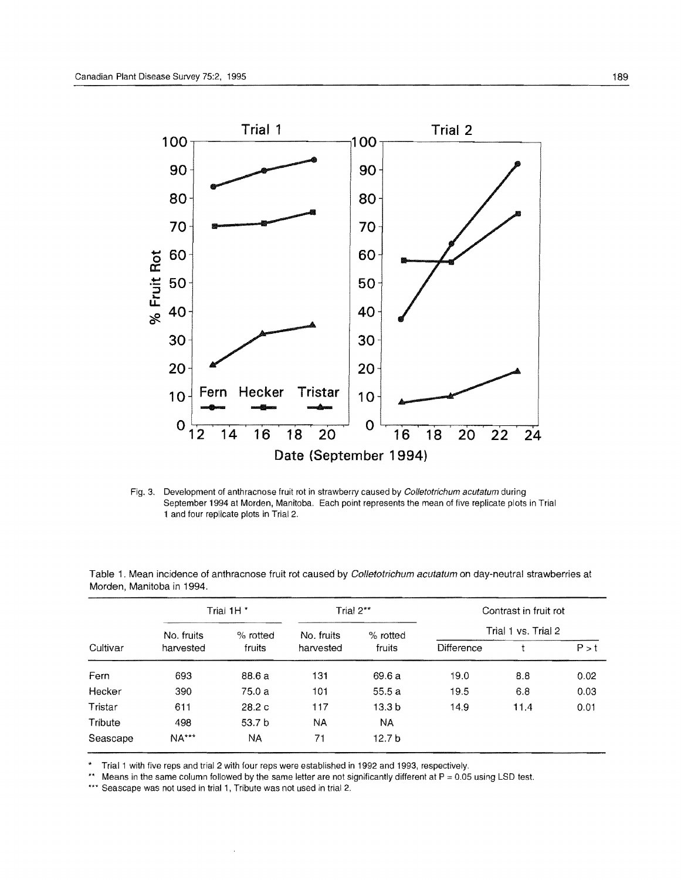

Fig. 3. Development of anthracnose fruit rot in strawberry caused by Colletotrichum acutatum during September 1994 at Morden, Manitoba. Each point represents the mean of five replicate plots in Trial 1 and four replicate plots in Trial 2.

| Cultivar | Trial 1H <sup>*</sup>   |                      | Trial $2^{**}$          |                    | Contrast in fruit rot |      |       |
|----------|-------------------------|----------------------|-------------------------|--------------------|-----------------------|------|-------|
|          | No. fruits<br>harvested | $%$ rotted<br>fruits | No. fruits<br>harvested | % rotted<br>fruits | Trial 1 vs. Trial 2   |      |       |
|          |                         |                      |                         |                    | Difference            |      | P > t |
| Fern     | 693                     | 88.6 a               | 131                     | 69.6 a             | 19.0                  | 8.8  | 0.02  |
| Hecker   | 390                     | 75.0 a               | 101                     | 55.5a              | 19.5                  | 6.8  | 0.03  |
| Tristar  | 611                     | 28.2c                | 117                     | 13.3 <sub>b</sub>  | 14.9                  | 11.4 | 0.01  |
| Tribute  | 498                     | 53.7 <sub>b</sub>    | <b>NA</b>               | NA                 |                       |      |       |
| Seascape | <b>NA***</b>            | <b>NA</b>            | 71                      | 12.7 <sub>b</sub>  |                       |      |       |

Table 1. Mean incidence of anthracnose fruit rot caused by Colletotrichum acutatum on day-neutral strawberries at Morden, Manitoba in 1994.

\* Trial 1 with five reps and trial 2 with four reps were established in 1992 and 1993, respectively.<br>\*\* Means in the same column followed by the same letter are not significantly different at  $P = 0.05$ 

Means in the same column followed by the same letter are not significantly different at  $P = 0.05$  using LSD test.

\*\*\* Seascape was not used in trial 1, Tribute was not used in trial 2.